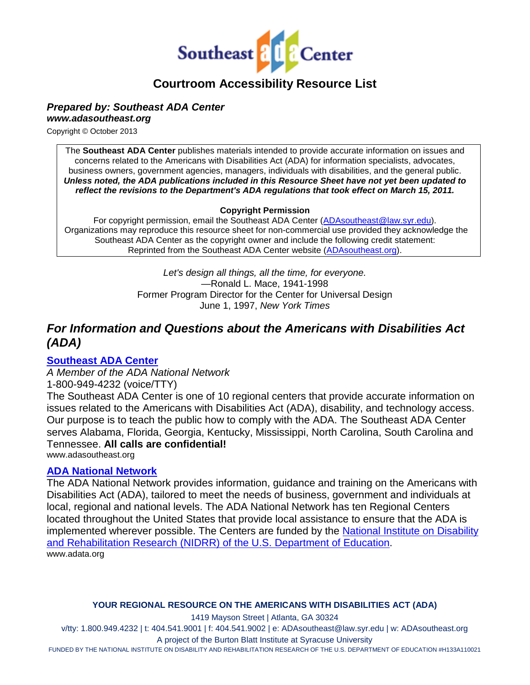

# **Courtroom Accessibility Resource List**

# *Prepared by: Southeast ADA Center www.adasoutheast.org*

Copyright © October 2013

The **Southeast ADA Center** publishes materials intended to provide accurate information on issues and concerns related to the Americans with Disabilities Act (ADA) for information specialists, advocates, business owners, government agencies, managers, individuals with disabilities, and the general public. *Unless noted, the ADA publications included in this Resource Sheet have not yet been updated to reflect the revisions to the Department's ADA regulations that took effect on March 15, 2011.*

#### **Copyright Permission**

For copyright permission, email the Southeast ADA Center [\(ADAsoutheast@law.syr.edu\)](mailto:adasoutheast@law.syr.edu). Organizations may reproduce this resource sheet for non-commercial use provided they acknowledge the Southeast ADA Center as the copyright owner and include the following credit statement: Reprinted from the Southeast ADA Center website [\(ADAsoutheast.org\)](http://adasoutheast.org/).

> *Let's design all things, all the time, for everyone.* —Ronald L. Mace, 1941-1998 Former Program Director for the Center for Universal Design June 1, 1997, *New York Times*

# *For Information and Questions about the Americans with Disabilities Act (ADA)*

# **[Southeast ADA Center](http://adasoutheast.org/)**

#### *A Member of the ADA National Network*

#### 1-800-949-4232 (voice/TTY)

The Southeast ADA Center is one of 10 regional centers that provide accurate information on issues related to the Americans with Disabilities Act (ADA), disability, and technology access. Our purpose is to teach the public how to comply with the ADA. The Southeast ADA Center serves Alabama, Florida, Georgia, Kentucky, Mississippi, North Carolina, South Carolina and Tennessee. **All calls are confidential!** www.adasoutheast.org

**[ADA National Network](http://adata.org/)**

The ADA National Network provides information, guidance and training on the Americans with Disabilities Act (ADA), tailored to meet the needs of business, government and individuals at local, regional and national levels. The ADA National Network has ten Regional Centers located throughout the United States that provide local assistance to ensure that the ADA is implemented wherever possible. The Centers are funded by the [National Institute on Disability](http://www2.ed.gov/about/offices/list/osers/nidrr/index.html)  [and Rehabilitation Research \(NIDRR\) of the U.S. Department of Education.](http://www2.ed.gov/about/offices/list/osers/nidrr/index.html) www.adata.org

#### **YOUR REGIONAL RESOURCE ON THE AMERICANS WITH DISABILITIES ACT (ADA)**

1419 Mayson Street | Atlanta, GA 30324 v/tty: 1.800.949.4232 | t: 404.541.9001 | f: 404.541.9002 | e: ADAsoutheast@law.syr.edu | w: ADAsoutheast.org A project of the Burton Blatt Institute at Syracuse University FUNDED BY THE NATIONAL INSTITUTE ON DISABILITY AND REHABILITATION RESEARCH OF THE U.S. DEPARTMENT OF EDUCATION #H133A110021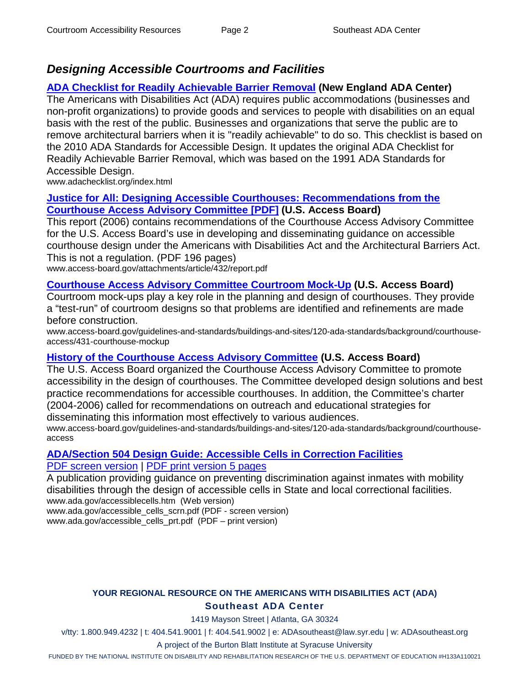# *Designing Accessible Courtrooms and Facilities*

# **[ADA Checklist for Readily Achievable Barrier Removal](http://www.adachecklist.org/index.html) (New England ADA Center)**

The Americans with Disabilities Act (ADA) requires public accommodations (businesses and non-profit organizations) to provide goods and services to people with disabilities on an equal basis with the rest of the public. Businesses and organizations that serve the public are to remove architectural barriers when it is "readily achievable" to do so. This checklist is based on the 2010 ADA Standards for Accessible Design. It updates the original ADA Checklist for Readily Achievable Barrier Removal, which was based on the 1991 ADA Standards for Accessible Design.

www.adachecklist.org/index.html

#### **[Justice for All: Designing Accessible Courthouses: Recommendations from the](http://www.access-board.gov/attachments/article/432/report.pdf)  [Courthouse Access Advisory Committee \[PDF\]](http://www.access-board.gov/attachments/article/432/report.pdf) (U.S. Access Board)**

This report (2006) contains recommendations of the Courthouse Access Advisory Committee for the U.S. Access Board's use in developing and disseminating guidance on accessible courthouse design under the Americans with Disabilities Act and the Architectural Barriers Act. This is not a regulation. (PDF 196 pages)

www.access-board.gov/attachments/article/432/report.pdf

# **[Courthouse Access Advisory Committee Courtroom Mock-Up](http://www.access-board.gov/guidelines-and-standards/buildings-and-sites/120-ada-standards/background/courthouse-access/431-courthouse-mockup) (U.S. Access Board)**

Courtroom mock-ups play a key role in the planning and design of courthouses. They provide a "test-run" of courtroom designs so that problems are identified and refinements are made before construction.

www.access-board.gov/guidelines-and-standards/buildings-and-sites/120-ada-standards/background/courthouseaccess/431-courthouse-mockup

#### **[History of the Courthouse Access Advisory Committee](http://www.access-board.gov/guidelines-and-standards/buildings-and-sites/120-ada-standards/background/courthouse-access/431-courthouse-mockup) (U.S. Access Board)**

The U.S. Access Board organized the Courthouse Access Advisory Committee to promote accessibility in the design of courthouses. The Committee developed design solutions and best practice recommendations for accessible courthouses. In addition, the Committee's charter (2004-2006) called for recommendations on outreach and educational strategies for disseminating this information most effectively to various audiences. www.access-board.gov/guidelines-and-standards/buildings-and-sites/120-ada-standards/background/courthouseaccess

# **[ADA/Section 504 Design Guide: Accessible Cells in Correction Facilities](http://www.ada.gov/accessiblecells.htm)**

#### [PDF screen version](http://www.ada.gov/accessible_cells_scrn.pdf) | [PDF print version 5 pages](http://www.ada.gov/accessible_cells_prt.pdf)

A publication providing guidance on preventing discrimination against inmates with mobility disabilities through the design of accessible cells in State and local correctional facilities. www.ada.gov/accessiblecells.htm (Web version)

www.ada.gov/accessible\_cells\_scrn.pdf (PDF - screen version) www.ada.gov/accessible\_cells\_prt.pdf (PDF – print version)

# **YOUR REGIONAL RESOURCE ON THE AMERICANS WITH DISABILITIES ACT (ADA) Southeast ADA Center**

1419 Mayson Street | Atlanta, GA 30324

v/tty: 1.800.949.4232 | t: 404.541.9001 | f: 404.541.9002 | e: ADAsoutheast@law.syr.edu | w: ADAsoutheast.org

A project of the Burton Blatt Institute at Syracuse University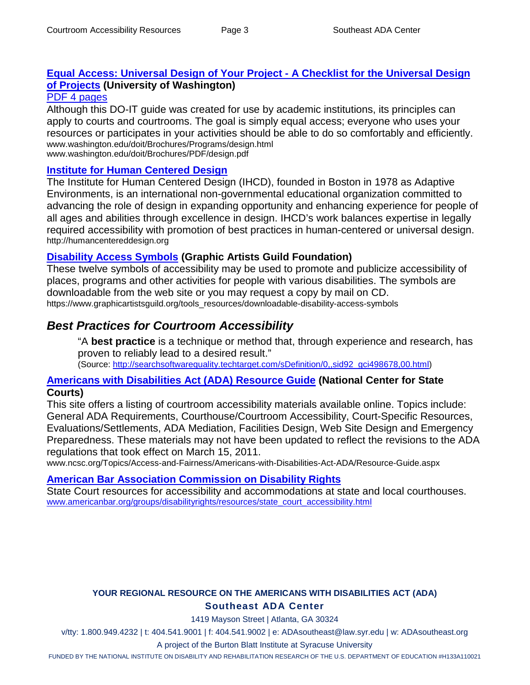# **[Equal Access: Universal Design of Your Project - A Checklist for the Universal Design](http://www.washington.edu/doit/Brochures/Programs/design.html)  [of Projects](http://www.washington.edu/doit/Brochures/Programs/design.html) (University of Washington)**

#### [PDF 4 pages](http://www.washington.edu/doit/Brochures/PDF/design.pdf)

Although this DO-IT guide was created for use by academic institutions, its principles can apply to courts and courtrooms. The goal is simply equal access; everyone who uses your resources or participates in your activities should be able to do so comfortably and efficiently. www.washington.edu/doit/Brochures/Programs/design.html www.washington.edu/doit/Brochures/PDF/design.pdf

#### **[Institute for Human Centered Design](http://humancentereddesign.org/)**

The Institute for Human Centered Design (IHCD), founded in Boston in 1978 as Adaptive Environments, is an international non-governmental educational organization committed to advancing the role of design in expanding opportunity and enhancing experience for people of all ages and abilities through excellence in design. IHCD's work balances expertise in legally required accessibility with promotion of best practices in human-centered or universal design. http://humancentereddesign.org

# **[Disability Access Symbols](https://www.graphicartistsguild.org/tools_resources/downloadable-disability-access-symbols) (Graphic Artists Guild Foundation)**

These twelve symbols of accessibility may be used to promote and publicize accessibility of places, programs and other activities for people with various disabilities. The symbols are downloadable from the web site or you may request a copy by mail on CD. https://www.graphicartistsguild.org/tools\_resources/downloadable-disability-access-symbols

# *Best Practices for Courtroom Accessibility*

"A **best practice** is a technique or method that, through experience and research, has proven to reliably lead to a desired result."

(Source: [http://searchsoftwarequality.techtarget.com/sDefinition/0,,sid92\\_gci498678,00.html\)](http://searchsoftwarequality.techtarget.com/sDefinition/0,,sid92_gci498678,00.html)

#### **[Americans with Disabilities Act \(ADA\) Resource Guide](http://www.ncsc.org/Topics/Access-and-Fairness/Americans-with-Disabilities-Act-ADA/Resource-Guide.aspx) (National Center for State Courts)**

This site offers a listing of courtroom accessibility materials available online. Topics include: General ADA Requirements, Courthouse/Courtroom Accessibility, Court-Specific Resources, Evaluations/Settlements, ADA Mediation, Facilities Design, Web Site Design and Emergency Preparedness. These materials may not have been updated to reflect the revisions to the ADA regulations that took effect on March 15, 2011.

www.ncsc.org/Topics/Access-and-Fairness/Americans-with-Disabilities-Act-ADA/Resource-Guide.aspx

# **[American Bar Association Commission on Disability Rights](http://www.americanbar.org/groups/disabilityrights/resources/state_court_accessibility.html)**

State Court resources for accessibility and accommodations at state and local courthouses. [www.americanbar.org/groups/disabilityrights/resources/state\\_court\\_accessibility.html](http://www.americanbar.org/groups/disabilityrights/resources/state_court_accessibility.html)

# **YOUR REGIONAL RESOURCE ON THE AMERICANS WITH DISABILITIES ACT (ADA) Southeast ADA Center**

1419 Mayson Street | Atlanta, GA 30324

v/tty: 1.800.949.4232 | t: 404.541.9001 | f: 404.541.9002 | e: ADAsoutheast@law.syr.edu | w: ADAsoutheast.org

A project of the Burton Blatt Institute at Syracuse University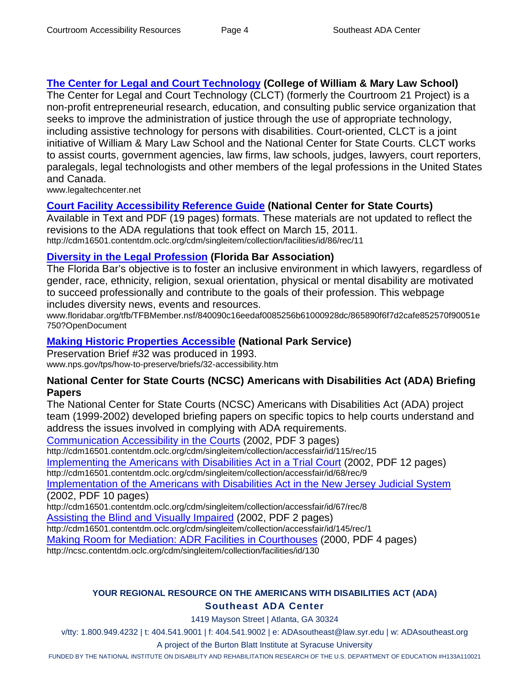# **[The Center for Legal and Court Technology](http://www.legaltechcenter.net/) (College of William & Mary Law School)**

The Center for Legal and Court Technology (CLCT) (formerly the Courtroom 21 Project) is a non-profit entrepreneurial research, education, and consulting public service organization that seeks to improve the administration of justice through the use of appropriate technology, including assistive technology for persons with disabilities. Court-oriented, CLCT is a joint initiative of William & Mary Law School and the National Center for State Courts. CLCT works to assist courts, government agencies, law firms, law schools, judges, lawyers, court reporters, paralegals, legal technologists and other members of the legal professions in the United States and Canada.

www.legaltechcenter.net

# **[Court Facility Accessibility Reference Guide](http://cdm16501.contentdm.oclc.org/cdm/singleitem/collection/facilities/id/86/rec/11) (National Center for State Courts)**

Available in Text and PDF (19 pages) formats. These materials are not updated to reflect the revisions to the ADA regulations that took effect on March 15, 2011. http://cdm16501.contentdm.oclc.org/cdm/singleitem/collection/facilities/id/86/rec/11

# **[Diversity in the Legal Profession](http://www.floridabar.org/tfb/TFBMember.nsf/840090c16eedaf0085256b61000928dc/865890f6f7d2cafe852570f90051e750?OpenDocument) (Florida Bar Association)**

The Florida Bar's objective is to foster an inclusive environment in which lawyers, regardless of gender, race, ethnicity, religion, sexual orientation, physical or mental disability are motivated to succeed professionally and contribute to the goals of their profession. This webpage includes diversity news, events and resources.

www.floridabar.org/tfb/TFBMember.nsf/840090c16eedaf0085256b61000928dc/865890f6f7d2cafe852570f90051e 750?OpenDocument

# **[Making Historic Properties Accessible](http://www.nps.gov/hps/tps/briefs/brief32.htm) (National Park Service)**

Preservation Brief #32 was produced in 1993. www.nps.gov/tps/how-to-preserve/briefs/32-accessibility.htm

# **National Center for State Courts (NCSC) Americans with Disabilities Act (ADA) Briefing Papers**

The National Center for State Courts (NCSC) Americans with Disabilities Act (ADA) project team (1999-2002) developed briefing papers on specific topics to help courts understand and address the issues involved in complying with ADA requirements.

[Communication Accessibility in the Courts](http://cdm16501.contentdm.oclc.org/cdm/singleitem/collection/accessfair/id/115/rec/15) (2002, PDF 3 pages)

http://cdm16501.contentdm.oclc.org/cdm/singleitem/collection/accessfair/id/115/rec/15

[Implementing the Americans with Disabilities Act in a Trial Court](http://cdm16501.contentdm.oclc.org/cdm/singleitem/collection/accessfair/id/68/rec/9) (2002, PDF 12 pages) http://cdm16501.contentdm.oclc.org/cdm/singleitem/collection/accessfair/id/68/rec/9

[Implementation of the Americans with Disabilities Act in the New Jersey Judicial System](http://cdm16501.contentdm.oclc.org/cdm/singleitem/collection/accessfair/id/67/rec/8) (2002, PDF 10 pages)

http://cdm16501.contentdm.oclc.org/cdm/singleitem/collection/accessfair/id/67/rec/8 [Assisting the Blind and Visually Impaired](http://cdm16501.contentdm.oclc.org/cdm/singleitem/collection/accessfair/id/145/rec/1) (2002, PDF 2 pages) http://cdm16501.contentdm.oclc.org/cdm/singleitem/collection/accessfair/id/145/rec/1 [Making Room for Mediation: ADR Facilities in Courthouses](http://ncsc.contentdm.oclc.org/cdm/singleitem/collection/facilities/id/130) (2000, PDF 4 pages) http://ncsc.contentdm.oclc.org/cdm/singleitem/collection/facilities/id/130

# **YOUR REGIONAL RESOURCE ON THE AMERICANS WITH DISABILITIES ACT (ADA) Southeast ADA Center**

1419 Mayson Street | Atlanta, GA 30324

v/tty: 1.800.949.4232 | t: 404.541.9001 | f: 404.541.9002 | e: ADAsoutheast@law.syr.edu | w: ADAsoutheast.org

A project of the Burton Blatt Institute at Syracuse University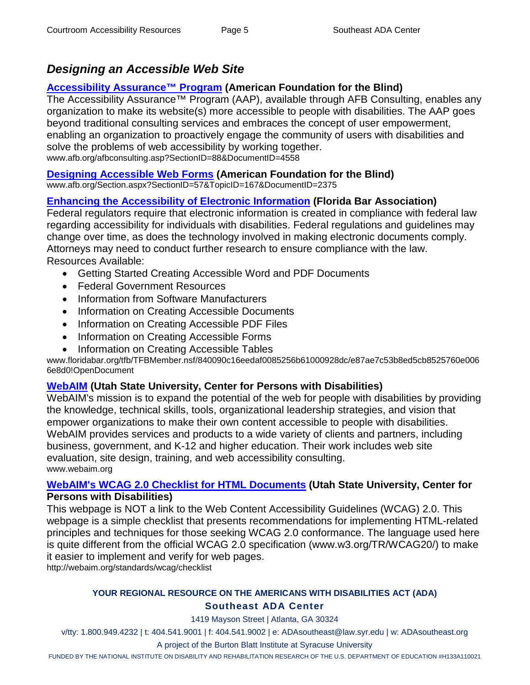# *Designing an Accessible Web Site*

# **[Accessibility Assurance™ Program](http://www.afb.org/afbconsulting.asp?SectionID=88&DocumentID=4558) (American Foundation for the Blind)**

The Accessibility Assurance™ Program (AAP), available through AFB Consulting, enables any organization to make its website(s) more accessible to people with disabilities. The AAP goes beyond traditional consulting services and embraces the concept of user empowerment, enabling an organization to proactively engage the community of users with disabilities and solve the problems of web accessibility by working together. www.afb.org/afbconsulting.asp?SectionID=88&DocumentID=4558

# **[Designing Accessible Web Forms](http://www.afb.org/Section.aspx?SectionID=57&TopicID=167&DocumentID=2375) (American Foundation for the Blind)**

www.afb.org/Section.aspx?SectionID=57&TopicID=167&DocumentID=2375

# **[Enhancing the Accessibility of Electronic Information](http://www.floridabar.org/tfb/TFBMember.nsf/840090c16eedaf0085256b61000928dc/e87ae7c53b8ed5cb8525760e0066e8d0!OpenDocument) (Florida Bar Association)**

Federal regulators require that electronic information is created in compliance with federal law regarding accessibility for individuals with disabilities. Federal regulations and guidelines may change over time, as does the technology involved in making electronic documents comply. Attorneys may need to conduct further research to ensure compliance with the law. Resources Available:

- Getting Started Creating Accessible Word and PDF Documents
- Federal Government Resources
- Information from Software Manufacturers
- Information on Creating Accessible Documents
- Information on Creating Accessible PDF Files
- Information on Creating Accessible Forms
- Information on Creating Accessible Tables

www.floridabar.org/tfb/TFBMember.nsf/840090c16eedaf0085256b61000928dc/e87ae7c53b8ed5cb8525760e006 6e8d0!OpenDocument

# **[WebAIM](http://www.webaim.org/) (Utah State University, Center for Persons with Disabilities)**

WebAIM's mission is to expand the potential of the web for people with disabilities by providing the knowledge, technical skills, tools, organizational leadership strategies, and vision that empower organizations to make their own content accessible to people with disabilities. WebAIM provides services and products to a wide variety of clients and partners, including business, government, and K-12 and higher education. Their work includes web site evaluation, site design, training, and web accessibility consulting. www.webaim.org

### **[WebAIM's WCAG 2.0 Checklist for HTML Documents](http://webaim.org/standards/wcag/checklist) (Utah State University, Center for Persons with Disabilities)**

This webpage is NOT a link to the Web Content Accessibility Guidelines (WCAG) 2.0. This webpage is a simple checklist that presents recommendations for implementing HTML-related principles and techniques for those seeking WCAG 2.0 conformance. The language used here is quite different from the official WCAG 2.0 specification (www.w3.org/TR/WCAG20/) to make it easier to implement and verify for web pages.

http://webaim.org/standards/wcag/checklist

# **YOUR REGIONAL RESOURCE ON THE AMERICANS WITH DISABILITIES ACT (ADA) Southeast ADA Center**

1419 Mayson Street | Atlanta, GA 30324

v/tty: 1.800.949.4232 | t: 404.541.9001 | f: 404.541.9002 | e: ADAsoutheast@law.syr.edu | w: ADAsoutheast.org

A project of the Burton Blatt Institute at Syracuse University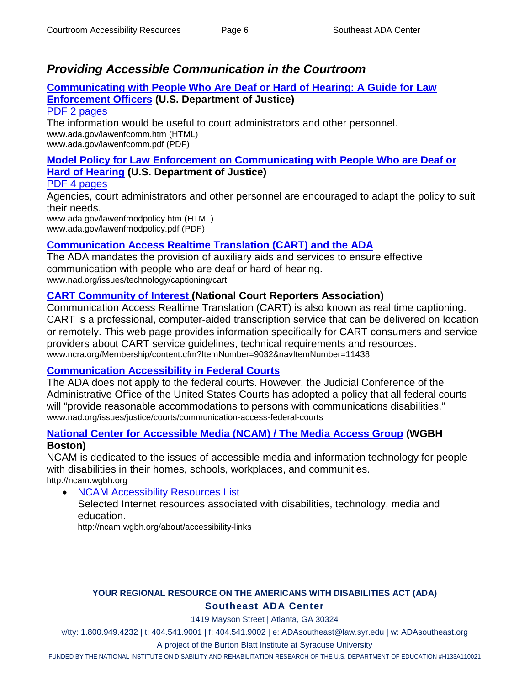# *Providing Accessible Communication in the Courtroom*

#### **[Communicating with People Who Are Deaf or Hard of Hearing: A Guide for Law](http://www.ada.gov/lawenfcomm.htm)  [Enforcement Officers](http://www.ada.gov/lawenfcomm.htm) (U.S. Department of Justice)** [PDF 2 pages](http://www.ada.gov/lawenfcomm.pdf)

The information would be useful to court administrators and other personnel. www.ada.gov/lawenfcomm.htm (HTML) www.ada.gov/lawenfcomm.pdf (PDF)

#### **[Model Policy for Law Enforcement on Communicating with People Who are Deaf or](http://www.ada.gov/lawenfmodpolicy.htm)  [Hard of Hearing](http://www.ada.gov/lawenfmodpolicy.htm) (U.S. Department of Justice)** [PDF 4 pages](http://www.ada.gov/lawenfmodpolicy.pdf)

Agencies, court administrators and other personnel are encouraged to adapt the policy to suit their needs.

www.ada.gov/lawenfmodpolicy.htm (HTML) www.ada.gov/lawenfmodpolicy.pdf (PDF)

# **[Communication Access Realtime Translation \(CART\) and the ADA](http://www.nad.org/issues/technology/captioning/cart)**

The ADA mandates the provision of auxiliary aids and services to ensure effective communication with people who are deaf or hard of hearing. www.nad.org/issues/technology/captioning/cart

# **[CART Community of Interest](http://www.ncra.org/Membership/content.cfm?ItemNumber=9032&navItemNumber=11438) (National Court Reporters Association)**

Communication Access Realtime Translation (CART) is also known as real time captioning. CART is a professional, computer-aided transcription service that can be delivered on location or remotely. This web page provides information specifically for CART consumers and service providers about CART service guidelines, technical requirements and resources. www.ncra.org/Membership/content.cfm?ItemNumber=9032&navItemNumber=11438

#### **[Communication Accessibility in Federal Courts](http://www.nad.org/issues/justice/courts/communication-access-federal-courts)**

The ADA does not apply to the federal courts. However, the Judicial Conference of the Administrative Office of the United States Courts has adopted a policy that all federal courts will "provide reasonable accommodations to persons with communications disabilities." www.nad.org/issues/justice/courts/communication-access-federal-courts

#### **[National Center for Accessible Media \(NCAM\) / The Media Access Group](http://ncam.wgbh.org/) (WGBH Boston)**

NCAM is dedicated to the issues of accessible media and information technology for people with disabilities in their homes, schools, workplaces, and communities. http://ncam.wgbh.org

• [NCAM Accessibility Resources List](http://ncam.wgbh.org/about/accessibility-links)

Selected Internet resources associated with disabilities, technology, media and education.

http://ncam.wgbh.org/about/accessibility-links

# **YOUR REGIONAL RESOURCE ON THE AMERICANS WITH DISABILITIES ACT (ADA) Southeast ADA Center**

1419 Mayson Street | Atlanta, GA 30324

v/tty: 1.800.949.4232 | t: 404.541.9001 | f: 404.541.9002 | e: ADAsoutheast@law.syr.edu | w: ADAsoutheast.org

A project of the Burton Blatt Institute at Syracuse University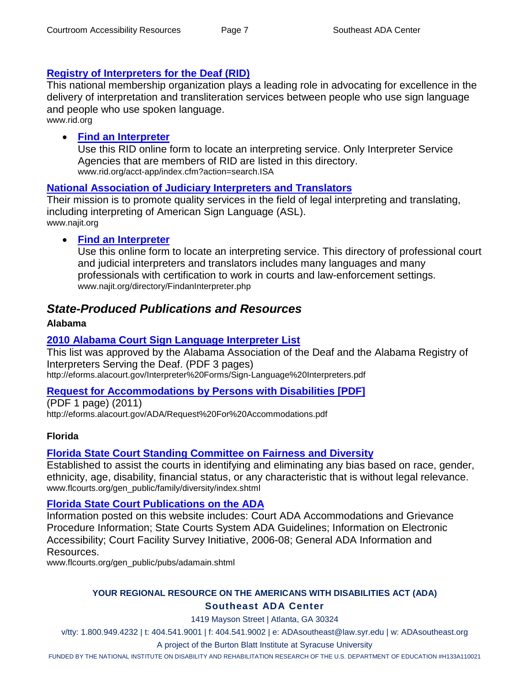# **[Registry of Interpreters for the Deaf \(RID\)](http://www.rid.org/)**

This national membership organization plays a leading role in advocating for excellence in the delivery of interpretation and transliteration services between people who use sign language and people who use spoken language. www.rid.org

# • **[Find an Interpreter](https://www.rid.org/acct-app/index.cfm?action=search.ISA)**

Use this RID online form to locate an interpreting service. Only Interpreter Service Agencies that are members of RID are listed in this directory. www.rid.org/acct-app/index.cfm?action=search.ISA

# **[National Association of Judiciary Interpreters and Translators](http://www.najit.org/)**

Their mission is to promote quality services in the field of legal interpreting and translating, including interpreting of American Sign Language (ASL). www.najit.org

# • **[Find an Interpreter](http://www.najit.org/directory/FindanInterpreter.php)**

Use this online form to locate an interpreting service. This directory of professional court and judicial interpreters and translators includes many languages and many professionals with certification to work in courts and law-enforcement settings. www.najit.org/directory/FindanInterpreter.php

# *State-Produced Publications and Resources*

### **Alabama**

# **[2010 Alabama Court Sign Language Interpreter List](http://eforms.alacourt.gov/Interpreter%20Forms/Sign-Language%20Interpreters.pdf)**

This list was approved by the Alabama Association of the Deaf and the Alabama Registry of Interpreters Serving the Deaf. (PDF 3 pages) http://eforms.alacourt.gov/Interpreter%20Forms/Sign-Language%20Interpreters.pdf

# **[Request for Accommodations by Persons with Disabilities \[PDF\]](http://eforms.alacourt.gov/ADA/Request%20For%20Accommodations.pdf)**

(PDF 1 page) (2011) http://eforms.alacourt.gov/ADA/Request%20For%20Accommodations.pdf

# **Florida**

# **[Florida State Court Standing Committee on Fairness and Diversity](http://www.flcourts.org/gen_public/family/diversity/index.shtml)**

Established to assist the courts in identifying and eliminating any bias based on race, gender, ethnicity, age, disability, financial status, or any characteristic that is without legal relevance. www.flcourts.org/gen\_public/family/diversity/index.shtml

# **[Florida State Court Publications on the ADA](http://www.flcourts.org/gen_public/pubs/adamain.shtml)**

Information posted on this website includes: Court ADA Accommodations and Grievance Procedure Information; State Courts System ADA Guidelines; Information on Electronic Accessibility; Court Facility Survey Initiative, 2006-08; General ADA Information and Resources.

www.flcourts.org/gen\_public/pubs/adamain.shtml

# **YOUR REGIONAL RESOURCE ON THE AMERICANS WITH DISABILITIES ACT (ADA) Southeast ADA Center**

1419 Mayson Street | Atlanta, GA 30324

v/tty: 1.800.949.4232 | t: 404.541.9001 | f: 404.541.9002 | e: ADAsoutheast@law.syr.edu | w: ADAsoutheast.org

A project of the Burton Blatt Institute at Syracuse University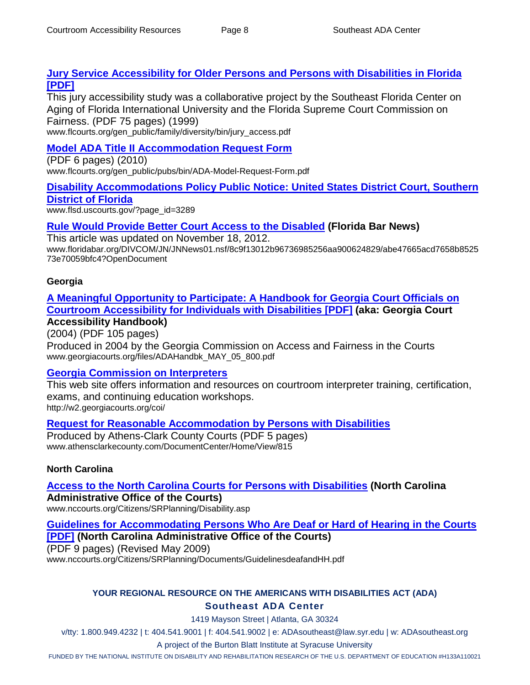### **[Jury Service Accessibility for Older Persons and Persons with Disabilities in Florida](http://www.flcourts.org/gen_public/family/diversity/bin/jury_access.pdf)  [\[PDF\]](http://www.flcourts.org/gen_public/family/diversity/bin/jury_access.pdf)**

This jury accessibility study was a collaborative project by the Southeast Florida Center on Aging of Florida International University and the Florida Supreme Court Commission on Fairness. (PDF 75 pages) (1999)

www.flcourts.org/gen\_public/family/diversity/bin/jury\_access.pdf

### **[Model ADA Title II Accommodation Request Form](http://www.flcourts.org/gen_public/pubs/bin/ADA-Model-Request-Form.pdf)**

(PDF 6 pages) (2010) www.flcourts.org/gen\_public/pubs/bin/ADA-Model-Request-Form.pdf

### **[Disability Accommodations Policy Public Notice: United States District Court, Southern](http://www.flsd.uscourts.gov/?page_id=3289)  [District of Florida](http://www.flsd.uscourts.gov/?page_id=3289)**

www.flsd.uscourts.gov/?page\_id=3289

### **[Rule Would Provide Better Court Access to the Disabled](http://www.floridabar.org/DIVCOM/JN/JNNews01.nsf/8c9f13012b96736985256aa900624829/abe47665acd7658b852573e70059bfc4?OpenDocument) (Florida Bar News)**

This article was updated on November 18, 2012. www.floridabar.org/DIVCOM/JN/JNNews01.nsf/8c9f13012b96736985256aa900624829/abe47665acd7658b8525 73e70059bfc4?OpenDocument

#### **Georgia**

# **[A Meaningful Opportunity to Participate: A Handbook for Georgia Court Officials on](http://www.georgiacourts.org/files/ADAHandbk_MAY_05_800.pdf)  [Courtroom Accessibility for Individuals with Disabilities \[PDF\]](http://www.georgiacourts.org/files/ADAHandbk_MAY_05_800.pdf) (aka: Georgia Court**

### **Accessibility Handbook)**

(2004) (PDF 105 pages) Produced in 2004 by the Georgia Commission on Access and Fairness in the Courts

### www.georgiacourts.org/files/ADAHandbk\_MAY\_05\_800.pdf

#### **[Georgia Commission on Interpreters](http://w2.georgiacourts.org/coi/)**

This web site offers information and resources on courtroom interpreter training, certification, exams, and continuing education workshops. http://w2.georgiacourts.org/coi/

#### **[Request for Reasonable Accommodation by Persons with Disabilities](http://www.athensclarkecounty.com/DocumentCenter/Home/View/815)**

Produced by Athens-Clark County Courts (PDF 5 pages) www.athensclarkecounty.com/DocumentCenter/Home/View/815

#### **North Carolina**

# **[Access to the North Carolina Courts for Persons with Disabilities](http://www.nccourts.org/Citizens/SRPlanning/Disability.asp) (North Carolina**

**Administrative Office of the Courts)**

www.nccourts.org/Citizens/SRPlanning/Disability.asp

# **[Guidelines for Accommodating Persons Who Are Deaf or Hard of Hearing in the Courts](http://www.nccourts.org/Citizens/SRPlanning/Documents/GuidelinesdeafandHH.pdf)**

# **[\[PDF\]](http://www.nccourts.org/Citizens/SRPlanning/Documents/GuidelinesdeafandHH.pdf) (North Carolina Administrative Office of the Courts)**

(PDF 9 pages) (Revised May 2009)

www.nccourts.org/Citizens/SRPlanning/Documents/GuidelinesdeafandHH.pdf

### **YOUR REGIONAL RESOURCE ON THE AMERICANS WITH DISABILITIES ACT (ADA) Southeast ADA Center**

1419 Mayson Street | Atlanta, GA 30324

v/tty: 1.800.949.4232 | t: 404.541.9001 | f: 404.541.9002 | e: ADAsoutheast@law.syr.edu | w: ADAsoutheast.org

A project of the Burton Blatt Institute at Syracuse University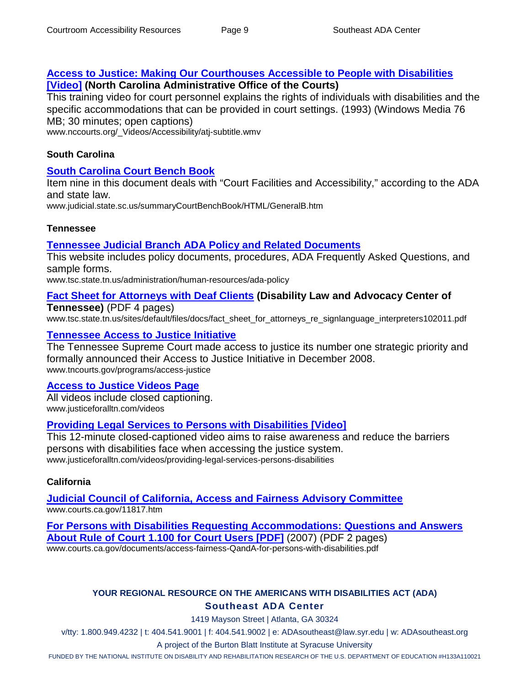#### **[Access to Justice: Making Our Courthouses Accessible to People with Disabilities](http://www.nccourts.org/_Videos/Accessibility/atj-subtitle.wmv)  [\[Video\]](http://www.nccourts.org/_Videos/Accessibility/atj-subtitle.wmv) (North Carolina Administrative Office of the Courts)**

This training video for court personnel explains the rights of individuals with disabilities and the specific accommodations that can be provided in court settings. (1993) (Windows Media 76 MB; 30 minutes; open captions)

www.nccourts.org/\_Videos/Accessibility/atj-subtitle.wmv

#### **South Carolina**

#### **[South Carolina Court Bench Book](http://www.judicial.state.sc.us/summaryCourtBenchBook/HTML/GeneralB.htm)**

Item nine in this document deals with "Court Facilities and Accessibility," according to the ADA and state law.

www.judicial.state.sc.us/summaryCourtBenchBook/HTML/GeneralB.htm

#### **Tennessee**

#### **[Tennessee Judicial Branch ADA Policy and Related Documents](http://www.tsc.state.tn.us/administration/human-resources/ada-policy)**

This website includes policy documents, procedures, ADA Frequently Asked Questions, and sample forms.

www.tsc.state.tn.us/administration/human-resources/ada-policy

# **[Fact Sheet for Attorneys with Deaf Clients](http://www.tsc.state.tn.us/sites/default/files/docs/fact_sheet_for_attorneys_re_signlanguage_interpreters102011.pdf) (Disability Law and Advocacy Center of**

**Tennessee)** (PDF 4 pages)

www.tsc.state.tn.us/sites/default/files/docs/fact\_sheet\_for\_attorneys\_re\_signlanguage\_interpreters102011.pdf

#### **[Tennessee Access to Justice Initiative](http://www.tncourts.gov/programs/access-justice)**

The Tennessee Supreme Court made access to justice its number one strategic priority and formally announced their Access to Justice Initiative in December 2008. www.tncourts.gov/programs/access-justice

#### **[Access to Justice Videos Page](http://www.justiceforalltn.com/videos)**

All videos include closed captioning. www.justiceforalltn.com/videos

#### **[Providing Legal Services to Persons with Disabilities \[Video\]](http://www.justiceforalltn.com/videos/providing-legal-services-persons-disabilities)**

This 12-minute closed-captioned video aims to raise awareness and reduce the barriers persons with disabilities face when accessing the justice system. www.justiceforalltn.com/videos/providing-legal-services-persons-disabilities

#### **California**

#### **[Judicial Council of California, Access and Fairness Advisory Committee](http://www.courts.ca.gov/11817.htm)**

www.courts.ca.gov/11817.htm

**[For Persons with Disabilities Requesting Accommodations: Questions and Answers](http://www.courts.ca.gov/documents/access-fairness-QandA-for-persons-with-disabilities.pdf)  [About Rule of Court 1.100 for Court Users \[PDF\]](http://www.courts.ca.gov/documents/access-fairness-QandA-for-persons-with-disabilities.pdf)** (2007) (PDF 2 pages) www.courts.ca.gov/documents/access-fairness-QandA-for-persons-with-disabilities.pdf

#### **YOUR REGIONAL RESOURCE ON THE AMERICANS WITH DISABILITIES ACT (ADA) Southeast ADA Center**

1419 Mayson Street | Atlanta, GA 30324

v/tty: 1.800.949.4232 | t: 404.541.9001 | f: 404.541.9002 | e: ADAsoutheast@law.syr.edu | w: ADAsoutheast.org

A project of the Burton Blatt Institute at Syracuse University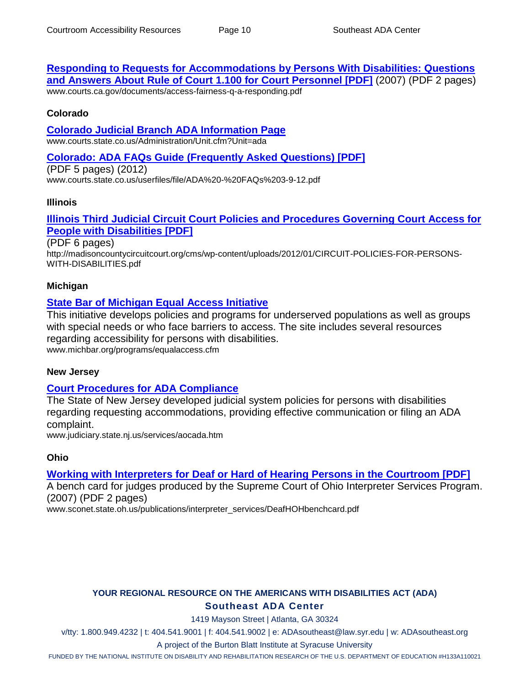#### **[Responding to Requests for Accommodations by Persons With Disabilities: Questions](http://www.courts.ca.gov/documents/access-fairness-q-a-responding.pdf)  [and Answers About Rule of Court 1.100 for Court](http://www.courts.ca.gov/documents/access-fairness-q-a-responding.pdf) Personnel [PDF]** (2007) (PDF 2 pages)

www.courts.ca.gov/documents/access-fairness-q-a-responding.pdf

#### **Colorado**

#### **[Colorado Judicial Branch ADA Information Page](http://www.courts.state.co.us/Administration/Unit.cfm?Unit=ada)**

www.courts.state.co.us/Administration/Unit.cfm?Unit=ada

#### **[Colorado: ADA FAQs Guide \(Frequently Asked Questions\) \[PDF\]](http://www.courts.state.co.us/userfiles/file/ADA%20-%20FAQs%203-9-12.pdf)**

(PDF 5 pages) (2012) www.courts.state.co.us/userfiles/file/ADA%20-%20FAQs%203-9-12.pdf

#### **Illinois**

#### **[Illinois Third Judicial Circuit Court Policies and Procedures Governing Court Access for](http://madisoncountycircuitcourt.org/cms/wp-content/uploads/2012/01/CIRCUIT-POLICIES-FOR-PERSONS-WITH-DISABILITIES.pdf)  [People with Disabilities \[PDF\]](http://madisoncountycircuitcourt.org/cms/wp-content/uploads/2012/01/CIRCUIT-POLICIES-FOR-PERSONS-WITH-DISABILITIES.pdf)**

(PDF 6 pages) http://madisoncountycircuitcourt.org/cms/wp-content/uploads/2012/01/CIRCUIT-POLICIES-FOR-PERSONS-WITH-DISABILITIES.pdf

#### **Michigan**

#### **[State Bar of Michigan Equal Access Initiative](http://www.michbar.org/programs/equalaccess.cfm)**

This initiative develops policies and programs for underserved populations as well as groups with special needs or who face barriers to access. The site includes several resources regarding accessibility for persons with disabilities. www.michbar.org/programs/equalaccess.cfm

#### **New Jersey**

#### **Court Procedures [for ADA Compliance](http://www.judiciary.state.nj.us/services/aocada.htm)**

The State of New Jersey developed judicial system policies for persons with disabilities regarding requesting accommodations, providing effective communication or filing an ADA complaint.

www.judiciary.state.nj.us/services/aocada.htm

#### **Ohio**

#### **Working with [Interpreters for Deaf or Hard of Hearing Persons in the Courtroom \[PDF\]](http://www.sconet.state.oh.us/publications/interpreter_services/DeafHOHbenchcard.pdf)**

A bench card for judges produced by the Supreme Court of Ohio Interpreter Services Program. (2007) (PDF 2 pages)

www.sconet.state.oh.us/publications/interpreter\_services/DeafHOHbenchcard.pdf

### **YOUR REGIONAL RESOURCE ON THE AMERICANS WITH DISABILITIES ACT (ADA) Southeast ADA Center**

1419 Mayson Street | Atlanta, GA 30324

v/tty: 1.800.949.4232 | t: 404.541.9001 | f: 404.541.9002 | e: ADAsoutheast@law.syr.edu | w: ADAsoutheast.org

A project of the Burton Blatt Institute at Syracuse University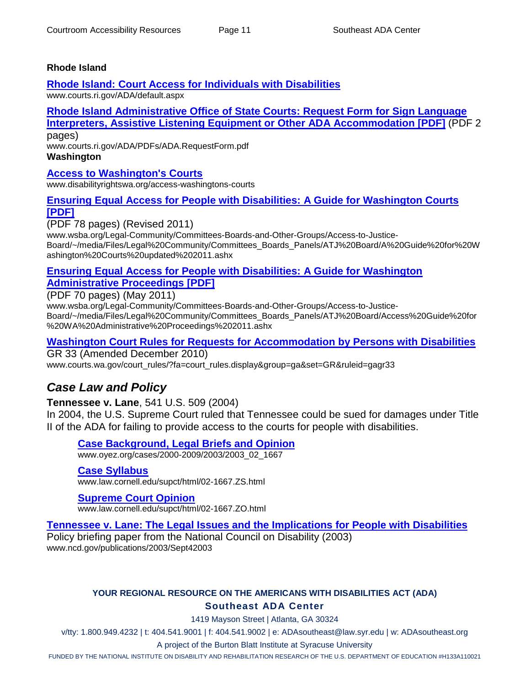#### **Rhode Island**

#### **[Rhode Island: Court Access for Individuals with Disabilities](http://www.courts.ri.gov/ADA/default.aspx)**

www.courts.ri.gov/ADA/default.aspx

# **[Rhode Island Administrative Office of State Courts: Request Form for Sign Language](http://www.courts.ri.gov/ADA/PDFs/ADA.RequestForm.pdf)**

**[Interpreters, Assistive Listening Equipment or Other ADA Accommodation \[PDF\]](http://www.courts.ri.gov/ADA/PDFs/ADA.RequestForm.pdf)** (PDF 2 pages)

www.courts.ri.gov/ADA/PDFs/ADA.RequestForm.pdf **Washington**

#### **[Access to Washington's Courts](http://www.disabilityrightswa.org/access-washingtons-courts)**

www.disabilityrightswa.org/access-washingtons-courts

### **[Ensuring Equal Access for People with Disabilities: A Guide for Washington Courts](http://www.wsba.org/Legal-Community/Committees-Boards-and-Other-Groups/Access-to-Justice-Board/~/media/Files/Legal%20Community/Committees_Boards_Panels/ATJ%20Board/A%20Guide%20for%20Washington%20Courts%20updated%202011.ashx)  [\[PDF\]](http://www.wsba.org/Legal-Community/Committees-Boards-and-Other-Groups/Access-to-Justice-Board/~/media/Files/Legal%20Community/Committees_Boards_Panels/ATJ%20Board/A%20Guide%20for%20Washington%20Courts%20updated%202011.ashx)**

(PDF 78 pages) (Revised 2011)

www.wsba.org/Legal-Community/Committees-Boards-and-Other-Groups/Access-to-Justice-Board/~/media/Files/Legal%20Community/Committees\_Boards\_Panels/ATJ%20Board/A%20Guide%20for%20W ashington%20Courts%20updated%202011.ashx

#### **[Ensuring Equal Access for People with Disabilities: A Guide for Washington](http://www.wsba.org/Legal-Community/Committees-Boards-and-Other-Groups/Access-to-Justice-Board/~/media/Files/Legal%20Community/Committees_Boards_Panels/ATJ%20Board/Access%20Guide%20for%20WA%20Administrative%20Proceedings%202011.ashx)  [Administrative Proceedings \[PDF\]](http://www.wsba.org/Legal-Community/Committees-Boards-and-Other-Groups/Access-to-Justice-Board/~/media/Files/Legal%20Community/Committees_Boards_Panels/ATJ%20Board/Access%20Guide%20for%20WA%20Administrative%20Proceedings%202011.ashx)**

(PDF 70 pages) (May 2011)

www.wsba.org/Legal-Community/Committees-Boards-and-Other-Groups/Access-to-Justice-Board/~/media/Files/Legal%20Community/Committees\_Boards\_Panels/ATJ%20Board/Access%20Guide%20for %20WA%20Administrative%20Proceedings%202011.ashx

#### **[Washington Court Rules for Requests for Accommodation by Persons with Disabilities](http://www.courts.wa.gov/court_rules/?fa=court_rules.display&group=ga&set=GR&ruleid=gagr33)**

GR 33 (Amended December 2010) www.courts.wa.gov/court\_rules/?fa=court\_rules.display&group=ga&set=GR&ruleid=gagr33

# *Case Law and Policy*

#### **Tennessee v. Lane**, 541 U.S. 509 (2004)

In 2004, the U.S. Supreme Court ruled that Tennessee could be sued for damages under Title II of the ADA for failing to provide access to the courts for people with disabilities.

#### **[Case Background, Legal Briefs and Opinion](http://www.oyez.org/cases/2000-2009/2003/2003_02_1667/)**

www.oyez.org/cases/2000-2009/2003/2003\_02\_1667

#### **[Case Syllabus](http://www.law.cornell.edu/supct/html/02-1667.ZS.html)**

www.law.cornell.edu/supct/html/02-1667.ZS.html

# **[Supreme Court Opinion](http://www.law.cornell.edu/supct/html/02-1667.ZO.html)**

www.law.cornell.edu/supct/html/02-1667.ZO.html

#### **[Tennessee v. Lane: The Legal Issues and the Implications for People with Disabilities](http://www.ncd.gov/publications/2003/Sept42003)**

Policy briefing paper from the National Council on Disability (2003) www.ncd.gov/publications/2003/Sept42003

### **YOUR REGIONAL RESOURCE ON THE AMERICANS WITH DISABILITIES ACT (ADA) Southeast ADA Center**

1419 Mayson Street | Atlanta, GA 30324

v/tty: 1.800.949.4232 | t: 404.541.9001 | f: 404.541.9002 | e: ADAsoutheast@law.syr.edu | w: ADAsoutheast.org

A project of the Burton Blatt Institute at Syracuse University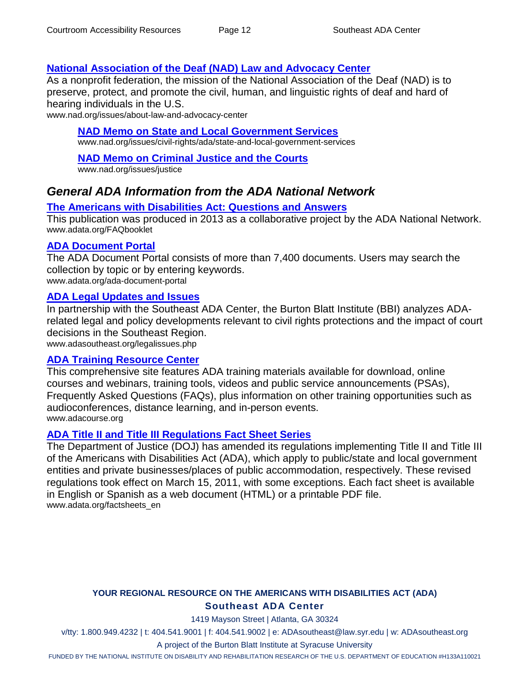### **[National Association of the Deaf \(NAD\) Law and Advocacy Center](http://www.nad.org/issues/about-law-and-advocacy-center)**

As a nonprofit federation, the mission of the National Association of the Deaf (NAD) is to preserve, protect, and promote the civil, human, and linguistic rights of deaf and hard of hearing individuals in the U.S.

www.nad.org/issues/about-law-and-advocacy-center

#### **[NAD Memo on State and Local Government Services](http://www.nad.org/issues/civil-rights/ada/state-and-local-government-services)**

www.nad.org/issues/civil-rights/ada/state-and-local-government-services

#### **[NAD Memo on Criminal Justice and the](http://www.nad.org/issues/justice) Courts**

www.nad.org/issues/justice

# *General ADA Information from the ADA National Network*

#### **[The Americans with Disabilities Act: Questions and Answers](https://adata.org/FAQbooklet)**

This publication was produced in 2013 as a collaborative project by the ADA National Network. www.adata.org/FAQbooklet

#### **[ADA Document](http://adata.org/ada-document-portal) Portal**

The ADA Document Portal consists of more than 7,400 documents. Users may search the collection by topic or by entering keywords.

www.adata.org/ada-document-portal

#### **[ADA Legal Updates and Issues](http://www.adasoutheast.org/legalissues.php)**

In partnership with the Southeast ADA Center, the Burton Blatt Institute (BBI) analyzes ADArelated legal and policy developments relevant to civil rights protections and the impact of court decisions in the Southeast Region.

www.adasoutheast.org/legalissues.php

#### **[ADA Training Resource Center](http://www.adacourse.org/)**

This comprehensive site features ADA training materials available for download, online courses and webinars, training tools, videos and public service announcements (PSAs), Frequently Asked Questions (FAQs), plus information on other training opportunities such as audioconferences, distance learning, and in-person events. www.adacourse.org

#### **[ADA Title II and Title III Regulations Fact Sheet Series](http://adata.org/factsheets_en)**

The Department of Justice (DOJ) has amended its regulations implementing Title II and Title III of the Americans with Disabilities Act (ADA), which apply to public/state and local government entities and private businesses/places of public accommodation, respectively. These revised regulations took effect on March 15, 2011, with some exceptions. Each fact sheet is available in English or Spanish as a web document (HTML) or a printable PDF file. www.adata.org/factsheets\_en

#### **YOUR REGIONAL RESOURCE ON THE AMERICANS WITH DISABILITIES ACT (ADA) Southeast ADA Center**

1419 Mayson Street | Atlanta, GA 30324

v/tty: 1.800.949.4232 | t: 404.541.9001 | f: 404.541.9002 | e: ADAsoutheast@law.syr.edu | w: ADAsoutheast.org

A project of the Burton Blatt Institute at Syracuse University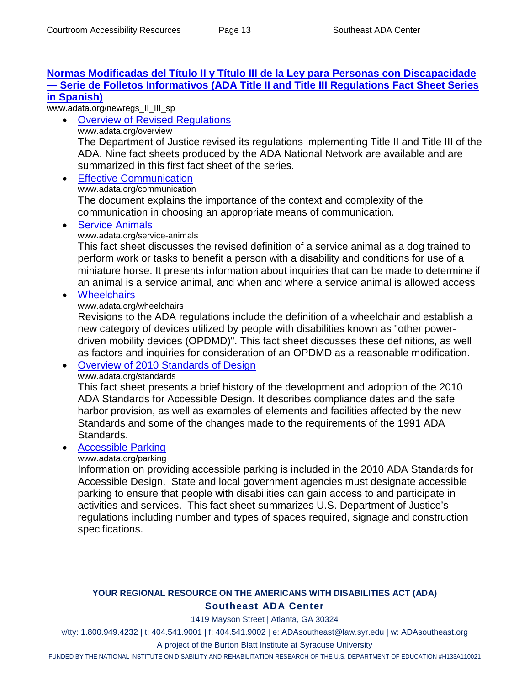#### **[Normas Modificadas del Título II y Título III de la Ley para](http://adata.org/newregs_II_III_sp) Personas con Discapacidade [— Serie de Folletos Informativos \(ADA Title II and Title III Regulations Fact Sheet Series](http://adata.org/newregs_II_III_sp)  [in Spanish\)](http://adata.org/newregs_II_III_sp)**

www.adata.org/newregs\_II\_III\_sp

- [Overview of Revised Regulations](http://adata.org/overview) www.adata.org/overview The Department of Justice revised its regulations implementing Title II and Title III of the ADA. Nine fact sheets produced by the ADA National Network are available and are summarized in this first fact sheet of the series.
- [Effective Communication](http://adata.org/communication)

www.adata.org/communication

The document explains the importance of the context and complexity of the communication in choosing an appropriate means of communication.

• [Service Animals](http://adata.org/service-animals)

#### www.adata.org/service-animals

This fact sheet discusses the revised definition of a service animal as a dog trained to perform work or tasks to benefit a person with a disability and conditions for use of a miniature horse. It presents information about inquiries that can be made to determine if an animal is a service animal, and when and where a service animal is allowed access

• [Wheelchairs](http://adata.org/wheelchairs)

#### www.adata.org/wheelchairs

Revisions to the ADA regulations include the definition of a wheelchair and establish a new category of devices utilized by people with disabilities known as "other powerdriven mobility devices (OPDMD)". This fact sheet discusses these definitions, as well as factors and inquiries for consideration of an OPDMD as a reasonable modification.

- [Overview of 2010 Standards of Design](http://adata.org/standards)
	- www.adata.org/standards

This fact sheet presents a brief history of the development and adoption of the 2010 ADA Standards for Accessible Design. It describes compliance dates and the safe harbor provision, as well as examples of elements and facilities affected by the new Standards and some of the changes made to the requirements of the 1991 ADA Standards.

#### • [Accessible Parking](http://adata.org/parking)

#### www.adata.org/parking

Information on providing accessible parking is included in the 2010 ADA Standards for Accessible Design. State and local government agencies must designate accessible parking to ensure that people with disabilities can gain access to and participate in activities and services. This fact sheet summarizes U.S. Department of Justice's regulations including number and types of spaces required, signage and construction specifications.

### **YOUR REGIONAL RESOURCE ON THE AMERICANS WITH DISABILITIES ACT (ADA) Southeast ADA Center**

1419 Mayson Street | Atlanta, GA 30324

v/tty: 1.800.949.4232 | t: 404.541.9001 | f: 404.541.9002 | e: ADAsoutheast@law.syr.edu | w: ADAsoutheast.org

#### A project of the Burton Blatt Institute at Syracuse University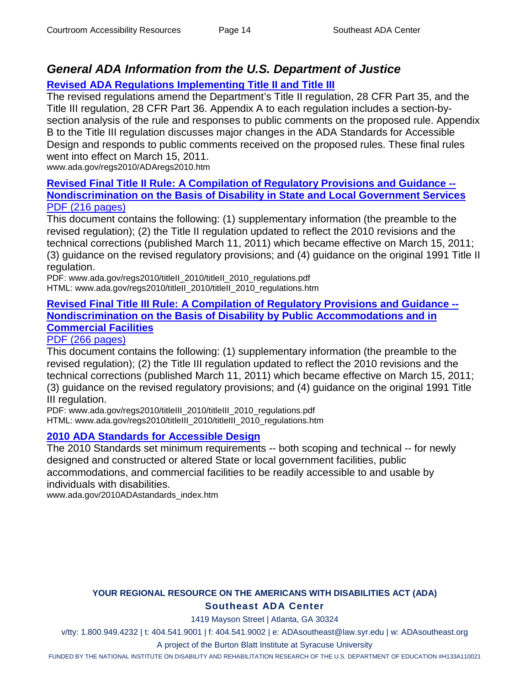# *General ADA Information from the U.S. Department of Justice*

**[Revised ADA Regulations Implementing Title II and Title III](http://www.ada.gov/regs2010/ADAregs2010.htm)**

The revised regulations amend the Department's Title II regulation, 28 CFR Part 35, and the Title III regulation, 28 CFR Part 36. Appendix A to each regulation includes a section-bysection analysis of the rule and responses to public comments on the proposed rule. Appendix B to the Title III regulation discusses major changes in the ADA Standards for Accessible Design and responds to public comments received on the proposed rules. These final rules went into effect on March 15, 2011.

www.ada.gov/regs2010/ADAregs2010.htm

#### **[Revised Final Title II Rule: A Compilation of Regulatory Provisions and Guidance --](http://www.ada.gov/regs2010/titleII_2010/titleII_2010_regulations.htm) [Nondiscrimination on the Basis of Disability in State and Local Government Services](http://www.ada.gov/regs2010/titleII_2010/titleII_2010_regulations.htm)** [PDF \(216 pages\)](http://www.ada.gov/regs2010/titleII_2010/titleII_2010_regulations.pdf)

This document contains the following: (1) supplementary information (the preamble to the revised regulation); (2) the Title II regulation updated to reflect the 2010 revisions and the technical corrections (published March 11, 2011) which became effective on March 15, 2011; (3) guidance on the revised regulatory provisions; and (4) guidance on the original 1991 Title II regulation.

PDF: www.ada.gov/regs2010/titleII\_2010/titleII\_2010\_regulations.pdf HTML: www.ada.gov/regs2010/titleII\_2010/titleII\_2010\_regulations.htm

#### **[Revised Final Title III Rule: A Compilation of Regulatory Provisions and Guidance --](http://www.ada.gov/regs2010/titleIII_2010/titleIII_2010_regulations.htm) [Nondiscrimination on the Basis of Disability by Public Accommodations and in](http://www.ada.gov/regs2010/titleIII_2010/titleIII_2010_regulations.htm)  [Commercial Facilities](http://www.ada.gov/regs2010/titleIII_2010/titleIII_2010_regulations.htm)**

[PDF \(266 pages\)](http://www.ada.gov/regs2010/titleIII_2010/titleIII_2010_regulations.pdf)

This document contains the following: (1) supplementary information (the preamble to the revised regulation); (2) the Title III regulation updated to reflect the 2010 revisions and the technical corrections (published March 11, 2011) which became effective on March 15, 2011; (3) guidance on the revised regulatory provisions; and (4) guidance on the original 1991 Title III regulation.

PDF: www.ada.gov/regs2010/titleIII\_2010/titleIII\_2010\_regulations.pdf HTML: www.ada.gov/regs2010/titleIII\_2010/titleIII\_2010\_regulations.htm

# **[2010 ADA Standards for Accessible Design](http://www.ada.gov/2010ADAstandards_index.htm)**

The 2010 Standards set minimum requirements -- both scoping and technical -- for newly designed and constructed or altered State or local government facilities, public accommodations, and commercial facilities to be readily accessible to and usable by individuals with disabilities.

www.ada.gov/2010ADAstandards\_index.htm

# **YOUR REGIONAL RESOURCE ON THE AMERICANS WITH DISABILITIES ACT (ADA) Southeast ADA Center**

1419 Mayson Street | Atlanta, GA 30324

v/tty: 1.800.949.4232 | t: 404.541.9001 | f: 404.541.9002 | e: ADAsoutheast@law.syr.edu | w: ADAsoutheast.org

A project of the Burton Blatt Institute at Syracuse University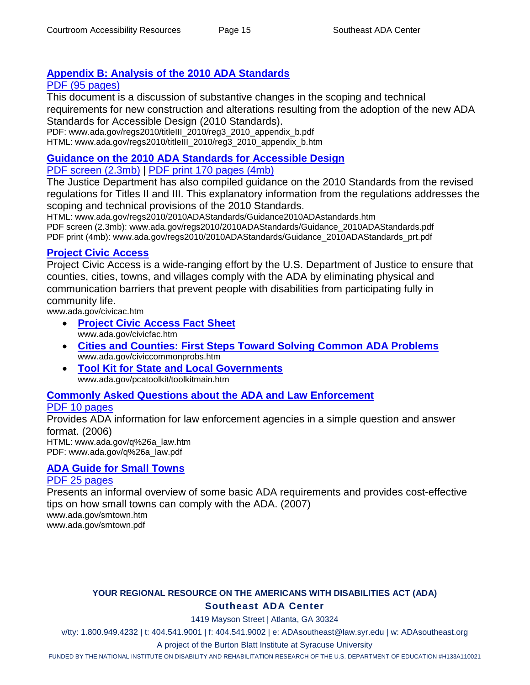# **[Appendix B: Analysis of the 2010 ADA Standards](http://www.ada.gov/regs2010/titleIII_2010/reg3_2010_appendix_b.htm)**

# [PDF \(95 pages\)](http://www.ada.gov/regs2010/titleIII_2010/reg3_2010_appendix_b.pdf)

This document is a discussion of substantive changes in the scoping and technical requirements for new construction and alterations resulting from the adoption of the new ADA Standards for Accessible Design (2010 Standards).

PDF: www.ada.gov/regs2010/titleIII\_2010/reg3\_2010\_appendix\_b.pdf HTML: www.ada.gov/regs2010/titleIII\_2010/reg3\_2010\_appendix\_b.htm

# **[Guidance on the 2010 ADA Standards for Accessible Design](http://www.ada.gov/regs2010/2010ADAStandards/Guidance2010ADAstandards.htm)**

[PDF screen \(2.3mb\)](http://www.ada.gov/regs2010/2010ADAStandards/Guidance_2010ADAStandards.pdf) | [PDF print 170 pages \(4mb\)](http://www.ada.gov/regs2010/2010ADAStandards/Guidance_2010ADAStandards_prt.pdf)

The Justice Department has also compiled guidance on the 2010 Standards from the revised regulations for Titles II and III. This explanatory information from the regulations addresses the scoping and technical provisions of the 2010 Standards.

HTML: www.ada.gov/regs2010/2010ADAStandards/Guidance2010ADAstandards.htm PDF screen (2.3mb): www.ada.gov/regs2010/2010ADAStandards/Guidance\_2010ADAStandards.pdf PDF print (4mb): www.ada.gov/regs2010/2010ADAStandards/Guidance\_2010ADAStandards\_prt.pdf

# **[Project Civic Access](http://www.ada.gov/civicac.htm)**

Project Civic Access is a wide-ranging effort by the U.S. Department of Justice to ensure that counties, cities, towns, and villages comply with the ADA by eliminating physical and communication barriers that prevent people with disabilities from participating fully in community life.

www.ada.gov/civicac.htm

- **[Project Civic Access Fact Sheet](http://www.ada.gov/civicfac.htm)** www.ada.gov/civicfac.htm
- **[Cities and Counties: First Steps Toward Solving Common ADA Problems](http://www.ada.gov/civiccommonprobs.htm)** www.ada.gov/civiccommonprobs.htm
- **[Tool Kit for State and Local Governments](http://www.ada.gov/pcatoolkit/toolkitmain.htm)** www.ada.gov/pcatoolkit/toolkitmain.htm

# **[Commonly Asked Questions about the ADA and Law Enforcement](http://www.ada.gov/q%26a_law.htm)**

#### [PDF 10 pages](http://www.ada.gov/q%26a_law.pdf)

Provides ADA information for law enforcement agencies in a simple question and answer format. (2006) HTML: www.ada.gov/q%26a\_law.htm PDF: www.ada.gov/q%26a\_law.pdf

# **[ADA Guide for Small Towns](http://www.ada.gov/smtown.htm)**

# [PDF 25 pages](http://www.ada.gov/smtown.pdf)

Presents an informal overview of some basic ADA requirements and provides cost-effective tips on how small towns can comply with the ADA. (2007) www.ada.gov/smtown.htm

www.ada.gov/smtown.pdf

# **YOUR REGIONAL RESOURCE ON THE AMERICANS WITH DISABILITIES ACT (ADA) Southeast ADA Center**

1419 Mayson Street | Atlanta, GA 30324

v/tty: 1.800.949.4232 | t: 404.541.9001 | f: 404.541.9002 | e: ADAsoutheast@law.syr.edu | w: ADAsoutheast.org

A project of the Burton Blatt Institute at Syracuse University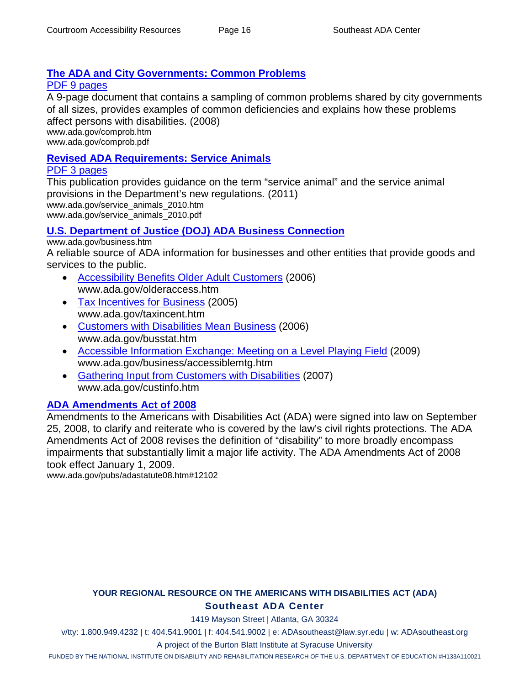# **[The ADA and City Governments: Common Problems](http://www.ada.gov/comprob.htm)**

[PDF 9 pages](http://www.ada.gov/comprob.pdf)

A 9-page document that contains a sampling of common problems shared by city governments of all sizes, provides examples of common deficiencies and explains how these problems affect persons with disabilities. (2008) www.ada.gov/comprob.htm

www.ada.gov/comprob.pdf

### **[Revised ADA Requirements: Service Animals](http://www.ada.gov/service_animals_2010.htm)**

#### [PDF 3 pages](http://www.ada.gov/service_animals_2010.pdf)

This publication provides guidance on the term "service animal" and the service animal provisions in the Department's new regulations. (2011) www.ada.gov/service\_animals\_2010.htm www.ada.gov/service\_animals\_2010.pdf

# **U.S. Department of [Justice \(DOJ\) ADA Business Connection](http://www.ada.gov/business.htm)**

www.ada.gov/business.htm A reliable source of ADA information for businesses and other entities that provide goods and services to the public.

- [Accessibility Benefits Older Adult Customers](http://www.ada.gov/olderaccess.htm) (2006) www.ada.gov/olderaccess.htm
- [Tax Incentives for Business](http://www.ada.gov/taxincent.htm) (2005) www.ada.gov/taxincent.htm
- [Customers with Disabilities Mean Business](http://www.ada.gov/busstat.htm) (2006) www.ada.gov/busstat.htm
- [Accessible Information Exchange: Meeting on a Level Playing Field](http://www.ada.gov/business/accessiblemtg.htm) (2009) www.ada.gov/business/accessiblemtg.htm
- [Gathering Input from Customers with Disabilities](http://www.ada.gov/custinfo.htm) (2007) www.ada.gov/custinfo.htm

# **[ADA Amendments Act of 2008](http://www.ada.gov/pubs/adastatute08.htm#12102)**

Amendments to the Americans with Disabilities Act (ADA) were signed into law on September 25, 2008, to clarify and reiterate who is covered by the law's civil rights protections. The ADA Amendments Act of 2008 revises the definition of "disability" to more broadly encompass impairments that substantially limit a major life activity. The ADA Amendments Act of 2008 took effect January 1, 2009.

www.ada.gov/pubs/adastatute08.htm#12102

# **YOUR REGIONAL RESOURCE ON THE AMERICANS WITH DISABILITIES ACT (ADA) Southeast ADA Center**

1419 Mayson Street | Atlanta, GA 30324

v/tty: 1.800.949.4232 | t: 404.541.9001 | f: 404.541.9002 | e: ADAsoutheast@law.syr.edu | w: ADAsoutheast.org

A project of the Burton Blatt Institute at Syracuse University